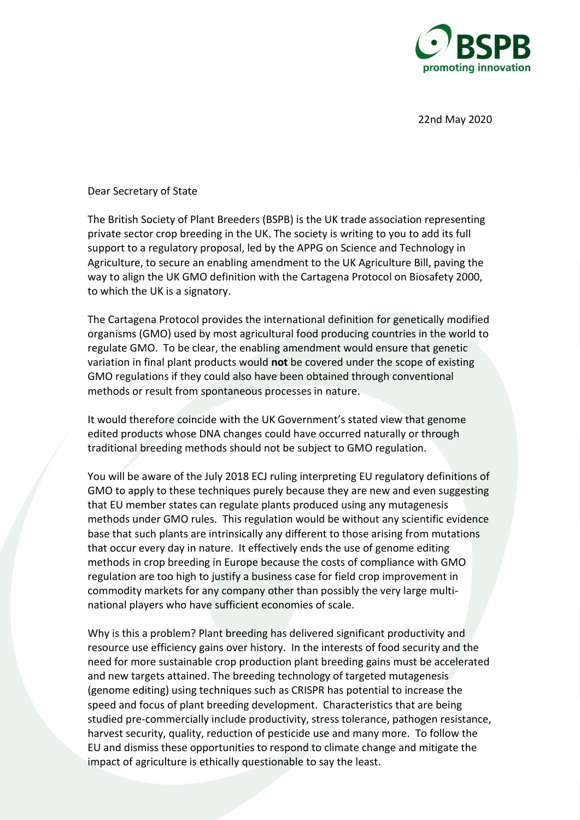

22nd May 2020

Dear Secretary of State

The British Society of Plant Breeders (BSPB) is the UK trade association representing private sector crop breeding in the UK. The society is writing to you to add its full support to a regulatory proposal, led by the APPG on Science and Technology in Agriculture, to secure an enabling amendment to the UK Agriculture Bill, paving the way to align the UK GMO definition with the Cartagena Protocol on Biosafety 2000, to which the UK is a signatory.

The Cartagena Protocol provides the international definition for genetically modified organisms (GMO) used by most agricultural food producing countries in the world to regulate GMO. To be clear, the enabling amendment would ensure that genetic variation in final plant products would **not** be covered under the scope of existing GMO regulations if they could also have been obtained through conventional methods or result from spontaneous processes in nature.

It would therefore coincide with the UK Government's stated view that genome edited products whose DNA changes could have occurred naturally or through traditional breeding methods should not be subject to GMO regulation.

You will be aware of the July 2018 ECJ ruling interpreting EU regulatory definitions of GMO to apply to these techniques purely because they are new and even suggesting that EU member states can regulate plants produced using any mutagenesis methods under GMO rules. This regulation would be without any scientific evidence base that such plants are intrinsically any different to those arising from mutations that occur every day in nature. It effectively ends the use of genome editing methods in crop breeding in Europe because the costs of compliance with GMO regulation are too high to justify a business case for field crop improvement in commodity markets for any company other than possibly the very large multinational players who have sufficient economies of scale.

Why is this a problem? Plant breeding has delivered significant productivity and resource use efficiency gains over history. In the interests of food security and the need for more sustainable crop production plant breeding gains must be accelerated and new targets attained. The breeding technology of targeted mutagenesis (genome editing) using techniques such as CRISPR has potential to increase the speed and focus of plant breeding development. Characteristics that are being studied pre-commercially include productivity, stress tolerance, pathogen resistance, harvest security, quality, reduction of pesticide use and many more. To follow the EU and dismiss these opportunities to respond to climate change and mitigate the impact of agriculture is ethically questionable to say the least.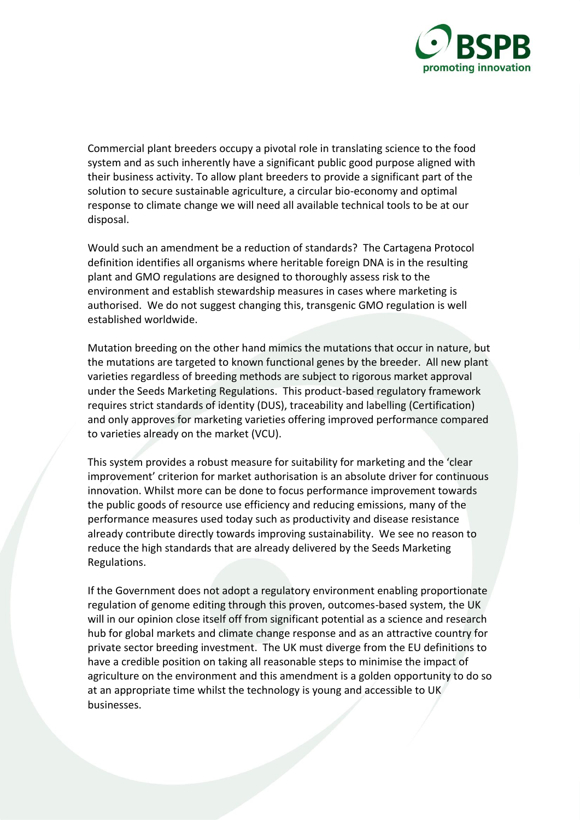

Commercial plant breeders occupy a pivotal role in translating science to the food system and as such inherently have a significant public good purpose aligned with their business activity. To allow plant breeders to provide a significant part of the solution to secure sustainable agriculture, a circular bio-economy and optimal response to climate change we will need all available technical tools to be at our disposal.

Would such an amendment be a reduction of standards? The Cartagena Protocol definition identifies all organisms where heritable foreign DNA is in the resulting plant and GMO regulations are designed to thoroughly assess risk to the environment and establish stewardship measures in cases where marketing is authorised. We do not suggest changing this, transgenic GMO regulation is well established worldwide.

Mutation breeding on the other hand mimics the mutations that occur in nature, but the mutations are targeted to known functional genes by the breeder. All new plant varieties regardless of breeding methods are subject to rigorous market approval under the Seeds Marketing Regulations. This product-based regulatory framework requires strict standards of identity (DUS), traceability and labelling (Certification) and only approves for marketing varieties offering improved performance compared to varieties already on the market (VCU).

This system provides a robust measure for suitability for marketing and the 'clear improvement' criterion for market authorisation is an absolute driver for continuous innovation. Whilst more can be done to focus performance improvement towards the public goods of resource use efficiency and reducing emissions, many of the performance measures used today such as productivity and disease resistance already contribute directly towards improving sustainability. We see no reason to reduce the high standards that are already delivered by the Seeds Marketing Regulations.

If the Government does not adopt a regulatory environment enabling proportionate regulation of genome editing through this proven, outcomes-based system, the UK will in our opinion close itself off from significant potential as a science and research hub for global markets and climate change response and as an attractive country for private sector breeding investment. The UK must diverge from the EU definitions to have a credible position on taking all reasonable steps to minimise the impact of agriculture on the environment and this amendment is a golden opportunity to do so at an appropriate time whilst the technology is young and accessible to UK businesses.